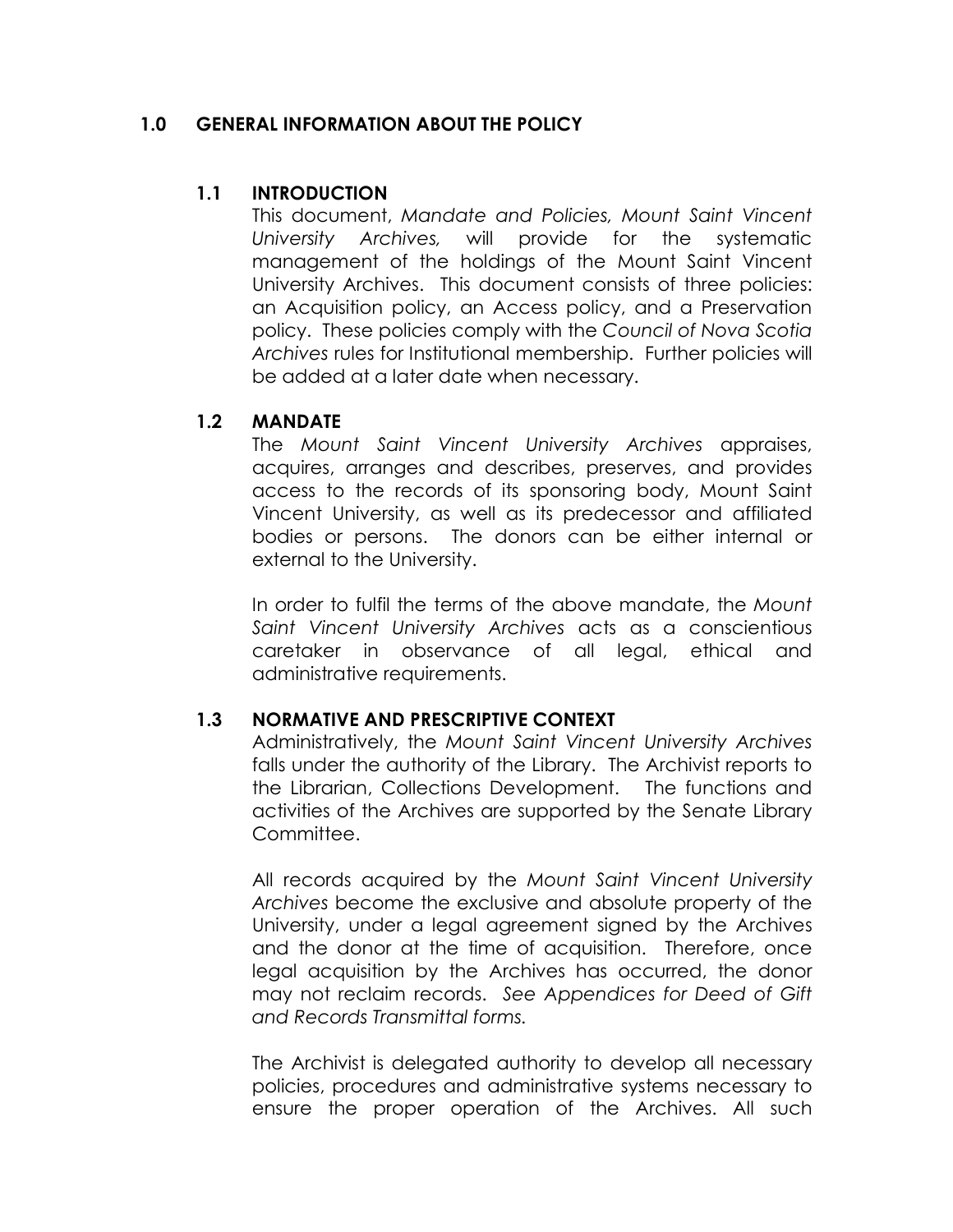### 1.0 GENERAL INFORMATION ABOUT THE POLICY

## 1.1 INTRODUCTION

This document, Mandate and Policies, Mount Saint Vincent University Archives, will provide for the systematic management of the holdings of the Mount Saint Vincent University Archives. This document consists of three policies: an Acquisition policy, an Access policy, and a Preservation policy. These policies comply with the Council of Nova Scotia Archives rules for Institutional membership. Further policies will be added at a later date when necessary.

#### 1.2 MANDATE

The Mount Saint Vincent University Archives appraises, acquires, arranges and describes, preserves, and provides access to the records of its sponsoring body, Mount Saint Vincent University, as well as its predecessor and affiliated bodies or persons. The donors can be either internal or external to the University.

In order to fulfil the terms of the above mandate, the Mount Saint Vincent University Archives acts as a conscientious caretaker in observance of all legal, ethical and administrative requirements.

# 1.3 NORMATIVE AND PRESCRIPTIVE CONTEXT

Administratively, the Mount Saint Vincent University Archives falls under the authority of the Library. The Archivist reports to the Librarian, Collections Development. The functions and activities of the Archives are supported by the Senate Library Committee.

All records acquired by the Mount Saint Vincent University Archives become the exclusive and absolute property of the University, under a legal agreement signed by the Archives and the donor at the time of acquisition. Therefore, once legal acquisition by the Archives has occurred, the donor may not reclaim records. See Appendices for Deed of Gift and Records Transmittal forms.

The Archivist is delegated authority to develop all necessary policies, procedures and administrative systems necessary to ensure the proper operation of the Archives. All such